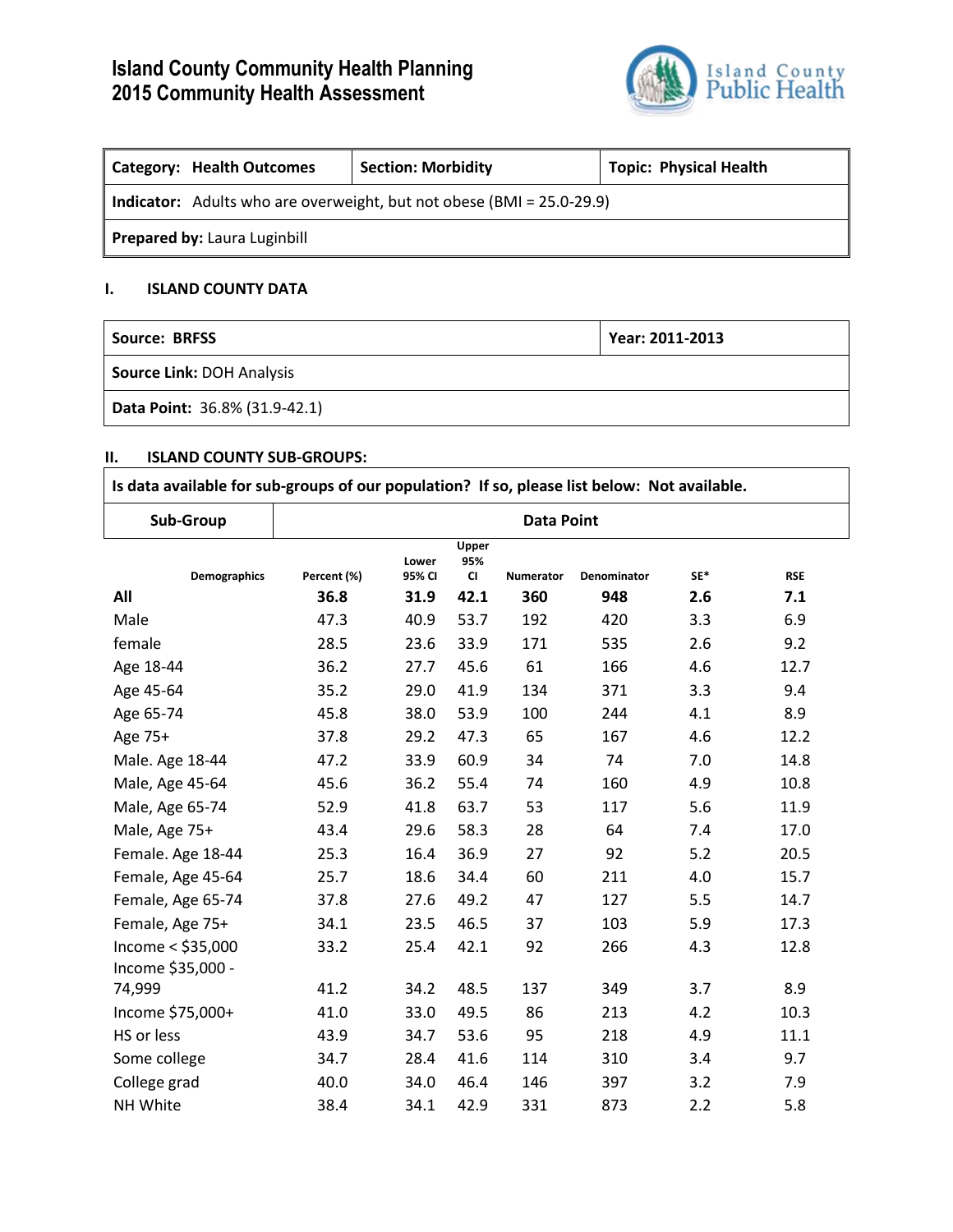# **Island County Community Health Planning 2015 Community Health Assessment**



| Category: Health Outcomes                                                    | <b>Section: Morbidity</b> | <b>Topic: Physical Health</b> |  |  |  |  |
|------------------------------------------------------------------------------|---------------------------|-------------------------------|--|--|--|--|
| <b>Indicator:</b> Adults who are overweight, but not obese (BMI = 25.0-29.9) |                           |                               |  |  |  |  |
| <b>Prepared by: Laura Luginbill</b>                                          |                           |                               |  |  |  |  |

## **I. ISLAND COUNTY DATA**

| <b>Source: BRFSS</b>          | Year: 2011-2013 |
|-------------------------------|-----------------|
| Source Link: DOH Analysis     |                 |
| Data Point: 36.8% (31.9-42.1) |                 |

### **II. ISLAND COUNTY SUB-GROUPS:**

| Is data available for sub-groups of our population? If so, please list below: Not available. |                   |                 |                           |                  |             |     |            |
|----------------------------------------------------------------------------------------------|-------------------|-----------------|---------------------------|------------------|-------------|-----|------------|
| Sub-Group                                                                                    | <b>Data Point</b> |                 |                           |                  |             |     |            |
| <b>Demographics</b>                                                                          | Percent (%)       | Lower<br>95% CI | Upper<br>95%<br><b>CI</b> | <b>Numerator</b> | Denominator | SE* | <b>RSE</b> |
| All                                                                                          | 36.8              | 31.9            | 42.1                      | 360              | 948         | 2.6 | 7.1        |
| Male                                                                                         | 47.3              | 40.9            | 53.7                      | 192              | 420         | 3.3 | 6.9        |
| female                                                                                       | 28.5              | 23.6            | 33.9                      | 171              | 535         | 2.6 | 9.2        |
| Age 18-44                                                                                    | 36.2              | 27.7            | 45.6                      | 61               | 166         | 4.6 | 12.7       |
| Age 45-64                                                                                    | 35.2              | 29.0            | 41.9                      | 134              | 371         | 3.3 | 9.4        |
| Age 65-74                                                                                    | 45.8              | 38.0            | 53.9                      | 100              | 244         | 4.1 | 8.9        |
| Age 75+                                                                                      | 37.8              | 29.2            | 47.3                      | 65               | 167         | 4.6 | 12.2       |
| Male. Age 18-44                                                                              | 47.2              | 33.9            | 60.9                      | 34               | 74          | 7.0 | 14.8       |
| Male, Age 45-64                                                                              | 45.6              | 36.2            | 55.4                      | 74               | 160         | 4.9 | 10.8       |
| Male, Age 65-74                                                                              | 52.9              | 41.8            | 63.7                      | 53               | 117         | 5.6 | 11.9       |
| Male, Age 75+                                                                                | 43.4              | 29.6            | 58.3                      | 28               | 64          | 7.4 | 17.0       |
| Female. Age 18-44                                                                            | 25.3              | 16.4            | 36.9                      | 27               | 92          | 5.2 | 20.5       |
| Female, Age 45-64                                                                            | 25.7              | 18.6            | 34.4                      | 60               | 211         | 4.0 | 15.7       |
| Female, Age 65-74                                                                            | 37.8              | 27.6            | 49.2                      | 47               | 127         | 5.5 | 14.7       |
| Female, Age 75+                                                                              | 34.1              | 23.5            | 46.5                      | 37               | 103         | 5.9 | 17.3       |
| Income < \$35,000<br>Income \$35,000 -                                                       | 33.2              | 25.4            | 42.1                      | 92               | 266         | 4.3 | 12.8       |
| 74,999                                                                                       | 41.2              | 34.2            | 48.5                      | 137              | 349         | 3.7 | 8.9        |
| Income \$75,000+                                                                             | 41.0              | 33.0            | 49.5                      | 86               | 213         | 4.2 | 10.3       |
| HS or less                                                                                   | 43.9              | 34.7            | 53.6                      | 95               | 218         | 4.9 | 11.1       |
| Some college                                                                                 | 34.7              | 28.4            | 41.6                      | 114              | 310         | 3.4 | 9.7        |
| College grad                                                                                 | 40.0              | 34.0            | 46.4                      | 146              | 397         | 3.2 | 7.9        |
| NH White                                                                                     | 38.4              | 34.1            | 42.9                      | 331              | 873         | 2.2 | 5.8        |